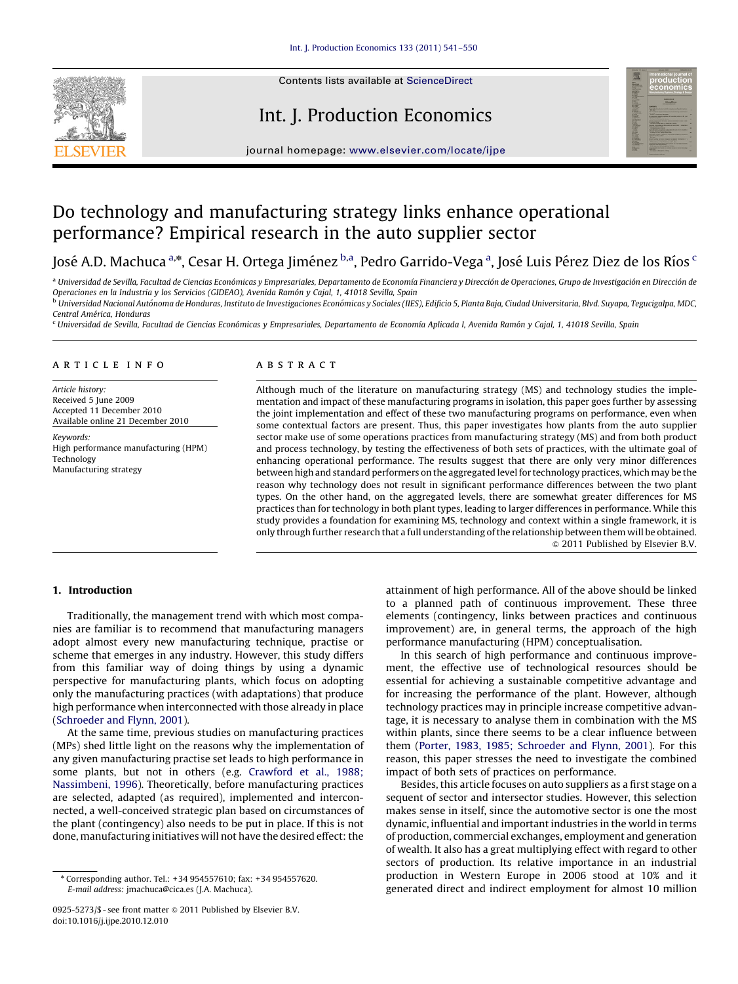

Contents lists available at ScienceDirect

### Int. J. Production Economics



journal homepage: <www.elsevier.com/locate/ijpe>

## Do technology and manufacturing strategy links enhance operational performance? Empirical research in the auto supplier sector

José A.D. Machuca <sup>a,</sup>\*, Cesar H. Ortega Jiménez <sup>b,a</sup>, Pedro Garrido-Vega <sup>a</sup>, José Luis Pérez Diez de los Ríos <sup>c</sup>

a Universidad de Sevilla, Facultad de Ciencias Económicas y Empresariales, Departamento de Economía Financiera y Dirección de Operaciones, Grupo de Investigación en Dirección de Operaciones en la Industria y los Servicios (GIDEAO), Avenida Ramón y Cajal, 1, 41018 Sevilla, Spain

<sup>b</sup> Universidad Nacional Autónoma de Honduras, Instituto de Investigaciones Económicas y Sociales (IIES), Edificio 5, Planta Baja, Ciudad Universitaria, Blvd. Suyapa, Tegucigalpa, MDC, Central América, Honduras

<sup>c</sup> Universidad de Sevilla, Facultad de Ciencias Económicas y Empresariales, Departamento de Economía Aplicada I, Avenida Ramón y Cajal, 1, 41018 Sevilla, Spain

#### article info

Article history: Received 5 June 2009 Accepted 11 December 2010 Available online 21 December 2010

Keywords: High performance manufacturing (HPM) Technology Manufacturing strategy

#### ABSTRACT

Although much of the literature on manufacturing strategy (MS) and technology studies the implementation and impact of these manufacturing programs in isolation, this paper goes further by assessing the joint implementation and effect of these two manufacturing programs on performance, even when some contextual factors are present. Thus, this paper investigates how plants from the auto supplier sector make use of some operations practices from manufacturing strategy (MS) and from both product and process technology, by testing the effectiveness of both sets of practices, with the ultimate goal of enhancing operational performance. The results suggest that there are only very minor differences between high and standard performers on the aggregated level for technology practices, which may be the reason why technology does not result in significant performance differences between the two plant types. On the other hand, on the aggregated levels, there are somewhat greater differences for MS practices than for technology in both plant types, leading to larger differences in performance. While this study provides a foundation for examining MS, technology and context within a single framework, it is only through further research that a full understanding of the relationship between them will be obtained.  $\odot$  2011 Published by Elsevier B.V.

#### 1. Introduction

Traditionally, the management trend with which most companies are familiar is to recommend that manufacturing managers adopt almost every new manufacturing technique, practise or scheme that emerges in any industry. However, this study differs from this familiar way of doing things by using a dynamic perspective for manufacturing plants, which focus on adopting only the manufacturing practices (with adaptations) that produce high performance when interconnected with those already in place ([Schroeder and Flynn, 2001](#page--1-0)).

At the same time, previous studies on manufacturing practices (MPs) shed little light on the reasons why the implementation of any given manufacturing practise set leads to high performance in some plants, but not in others (e.g. [Crawford et al., 1988;](#page--1-0) [Nassimbeni, 1996](#page--1-0)). Theoretically, before manufacturing practices are selected, adapted (as required), implemented and interconnected, a well-conceived strategic plan based on circumstances of the plant (contingency) also needs to be put in place. If this is not done, manufacturing initiatives will not have the desired effect: the

attainment of high performance. All of the above should be linked to a planned path of continuous improvement. These three elements (contingency, links between practices and continuous improvement) are, in general terms, the approach of the high performance manufacturing (HPM) conceptualisation.

In this search of high performance and continuous improvement, the effective use of technological resources should be essential for achieving a sustainable competitive advantage and for increasing the performance of the plant. However, although technology practices may in principle increase competitive advantage, it is necessary to analyse them in combination with the MS within plants, since there seems to be a clear influence between them [\(Porter, 1983, 1985; Schroeder and Flynn, 2001\)](#page--1-0). For this reason, this paper stresses the need to investigate the combined impact of both sets of practices on performance.

Besides, this article focuses on auto suppliers as a first stage on a sequent of sector and intersector studies. However, this selection makes sense in itself, since the automotive sector is one the most dynamic, influential and important industries in the world in terms of production, commercial exchanges, employment and generation of wealth. It also has a great multiplying effect with regard to other sectors of production. Its relative importance in an industrial production in Western Europe in 2006 stood at 10% and it generated direct and indirect employment for almost 10 million

<sup>n</sup> Corresponding author. Tel.: +34 954557610; fax: +34 954557620. E-mail address: [jmachuca@cica.es \(J.A. Machuca\).](mailto:jmachuca@cica.es)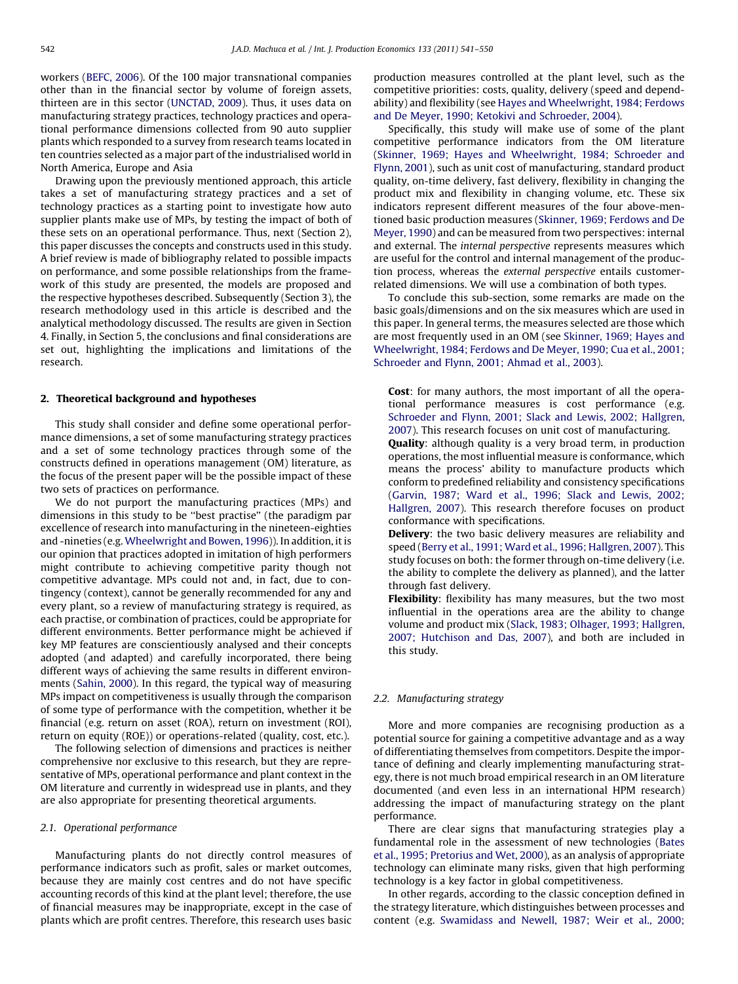workers ([BEFC, 2006](#page--1-0)). Of the 100 major transnational companies other than in the financial sector by volume of foreign assets, thirteen are in this sector [\(UNCTAD, 2009](#page--1-0)). Thus, it uses data on manufacturing strategy practices, technology practices and operational performance dimensions collected from 90 auto supplier plants which responded to a survey from research teams located in ten countries selected as a major part of the industrialised world in North America, Europe and Asia

Drawing upon the previously mentioned approach, this article takes a set of manufacturing strategy practices and a set of technology practices as a starting point to investigate how auto supplier plants make use of MPs, by testing the impact of both of these sets on an operational performance. Thus, next (Section 2), this paper discusses the concepts and constructs used in this study. A brief review is made of bibliography related to possible impacts on performance, and some possible relationships from the framework of this study are presented, the models are proposed and the respective hypotheses described. Subsequently (Section 3), the research methodology used in this article is described and the analytical methodology discussed. The results are given in Section 4. Finally, in Section 5, the conclusions and final considerations are set out, highlighting the implications and limitations of the research.

#### 2. Theoretical background and hypotheses

This study shall consider and define some operational performance dimensions, a set of some manufacturing strategy practices and a set of some technology practices through some of the constructs defined in operations management (OM) literature, as the focus of the present paper will be the possible impact of these two sets of practices on performance.

We do not purport the manufacturing practices (MPs) and dimensions in this study to be ''best practise'' (the paradigm par excellence of research into manufacturing in the nineteen-eighties and -nineties (e.g.[Wheelwright and Bowen, 1996\)](#page--1-0)). In addition, it is our opinion that practices adopted in imitation of high performers might contribute to achieving competitive parity though not competitive advantage. MPs could not and, in fact, due to contingency (context), cannot be generally recommended for any and every plant, so a review of manufacturing strategy is required, as each practise, or combination of practices, could be appropriate for different environments. Better performance might be achieved if key MP features are conscientiously analysed and their concepts adopted (and adapted) and carefully incorporated, there being different ways of achieving the same results in different environments [\(Sahin, 2000\)](#page--1-0). In this regard, the typical way of measuring MPs impact on competitiveness is usually through the comparison of some type of performance with the competition, whether it be financial (e.g. return on asset (ROA), return on investment (ROI), return on equity (ROE)) or operations-related (quality, cost, etc.).

The following selection of dimensions and practices is neither comprehensive nor exclusive to this research, but they are representative of MPs, operational performance and plant context in the OM literature and currently in widespread use in plants, and they are also appropriate for presenting theoretical arguments.

#### 2.1. Operational performance

Manufacturing plants do not directly control measures of performance indicators such as profit, sales or market outcomes, because they are mainly cost centres and do not have specific accounting records of this kind at the plant level; therefore, the use of financial measures may be inappropriate, except in the case of plants which are profit centres. Therefore, this research uses basic production measures controlled at the plant level, such as the competitive priorities: costs, quality, delivery (speed and dependability) and flexibility (see [Hayes and Wheelwright, 1984; Ferdows](#page--1-0) [and De Meyer, 1990; Ketokivi and Schroeder, 2004](#page--1-0)).

Specifically, this study will make use of some of the plant competitive performance indicators from the OM literature ([Skinner, 1969; Hayes and Wheelwright, 1984; Schroeder and](#page--1-0) [Flynn, 2001\)](#page--1-0), such as unit cost of manufacturing, standard product quality, on-time delivery, fast delivery, flexibility in changing the product mix and flexibility in changing volume, etc. These six indicators represent different measures of the four above-mentioned basic production measures ([Skinner, 1969; Ferdows and De](#page--1-0) [Meyer, 1990\)](#page--1-0) and can be measured from two perspectives: internal and external. The internal perspective represents measures which are useful for the control and internal management of the production process, whereas the external perspective entails customerrelated dimensions. We will use a combination of both types.

To conclude this sub-section, some remarks are made on the basic goals/dimensions and on the six measures which are used in this paper. In general terms, the measures selected are those which are most frequently used in an OM (see [Skinner, 1969; Hayes and](#page--1-0) [Wheelwright, 1984; Ferdows and De Meyer, 1990; Cua et al., 2001;](#page--1-0) [Schroeder and Flynn, 2001; Ahmad et al., 2003\)](#page--1-0).

Cost: for many authors, the most important of all the operational performance measures is cost performance (e.g. [Schroeder and Flynn, 2001; Slack and Lewis, 2002; Hallgren,](#page--1-0) [2007\)](#page--1-0). This research focuses on unit cost of manufacturing.

**Quality:** although quality is a very broad term, in production operations, the most influential measure is conformance, which means the process' ability to manufacture products which conform to predefined reliability and consistency specifications ([Garvin, 1987; Ward et al., 1996; Slack and Lewis, 2002;](#page--1-0) [Hallgren, 2007\)](#page--1-0). This research therefore focuses on product conformance with specifications.

**Delivery:** the two basic delivery measures are reliability and speed [\(Berry et al., 1991; Ward et al., 1996; Hallgren, 2007](#page--1-0)). This study focuses on both: the former through on-time delivery (i.e. the ability to complete the delivery as planned), and the latter through fast delivery.

Flexibility: flexibility has many measures, but the two most influential in the operations area are the ability to change volume and product mix [\(Slack, 1983; Olhager, 1993; Hallgren,](#page--1-0) [2007; Hutchison and Das, 2007\)](#page--1-0), and both are included in this study.

#### 2.2. Manufacturing strategy

More and more companies are recognising production as a potential source for gaining a competitive advantage and as a way of differentiating themselves from competitors. Despite the importance of defining and clearly implementing manufacturing strategy, there is not much broad empirical research in an OM literature documented (and even less in an international HPM research) addressing the impact of manufacturing strategy on the plant performance.

There are clear signs that manufacturing strategies play a fundamental role in the assessment of new technologies [\(Bates](#page--1-0) [et al., 1995; Pretorius and Wet, 2000\)](#page--1-0), as an analysis of appropriate technology can eliminate many risks, given that high performing technology is a key factor in global competitiveness.

In other regards, according to the classic conception defined in the strategy literature, which distinguishes between processes and content (e.g. [Swamidass and Newell, 1987; Weir et al., 2000;](#page--1-0)